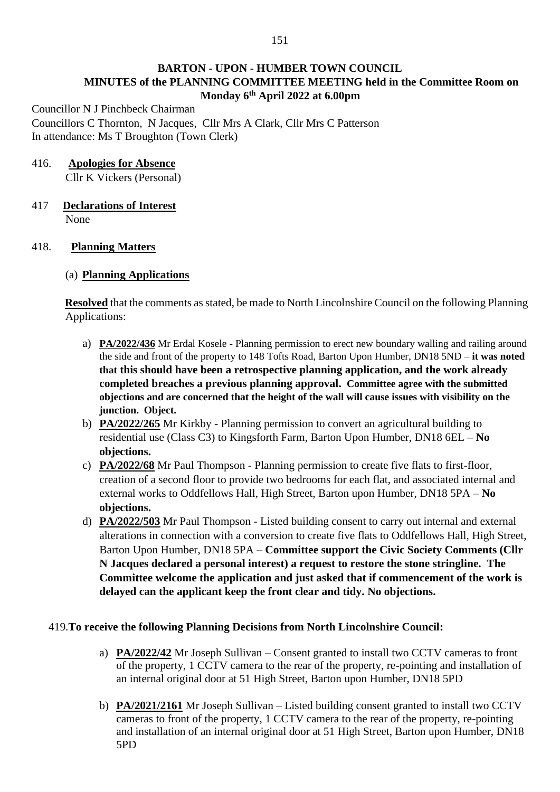# **BARTON - UPON - HUMBER TOWN COUNCIL MINUTES of the PLANNING COMMITTEE MEETING held in the Committee Room on Monday 6 th April 2022 at 6.00pm**

Councillor N J Pinchbeck Chairman Councillors C Thornton, N Jacques, Cllr Mrs A Clark, Cllr Mrs C Patterson In attendance: Ms T Broughton (Town Clerk)

## 416. **Apologies for Absence**

Cllr K Vickers (Personal)

#### 417 **Declarations of Interest** None

### 418. **Planning Matters**

### (a) **Planning Applications**

**Resolved** that the comments as stated, be made to North Lincolnshire Council on the following Planning Applications:

- a) **PA/2022/436** Mr Erdal Kosele Planning permission to erect new boundary walling and railing around the side and front of the property to 148 Tofts Road, Barton Upon Humber, DN18 5ND – **it was noted that this should have been a retrospective planning application, and the work already completed breaches a previous planning approval. Committee agree with the submitted objections and are concerned that the height of the wall will cause issues with visibility on the junction. Object.**
- b) **PA/2022/265** Mr Kirkby Planning permission to convert an agricultural building to residential use (Class C3) to Kingsforth Farm, Barton Upon Humber, DN18 6EL – **No objections.**
- c) **PA/2022/68** Mr Paul Thompson Planning permission to create five flats to first-floor, creation of a second floor to provide two bedrooms for each flat, and associated internal and external works to Oddfellows Hall, High Street, Barton upon Humber, DN18 5PA – **No objections.**
- d) **PA/2022/503** Mr Paul Thompson Listed building consent to carry out internal and external alterations in connection with a conversion to create five flats to Oddfellows Hall, High Street, Barton Upon Humber, DN18 5PA – **Committee support the Civic Society Comments (Cllr N Jacques declared a personal interest) a request to restore the stone stringline. The Committee welcome the application and just asked that if commencement of the work is delayed can the applicant keep the front clear and tidy. No objections.**

### 419.**To receive the following Planning Decisions from North Lincolnshire Council:**

- a) **PA/2022/42** Mr Joseph Sullivan Consent granted to install two CCTV cameras to front of the property, 1 CCTV camera to the rear of the property, re-pointing and installation of an internal original door at 51 High Street, Barton upon Humber, DN18 5PD
- b) **PA/2021/2161** Mr Joseph Sullivan Listed building consent granted to install two CCTV cameras to front of the property, 1 CCTV camera to the rear of the property, re-pointing and installation of an internal original door at 51 High Street, Barton upon Humber, DN18 5PD